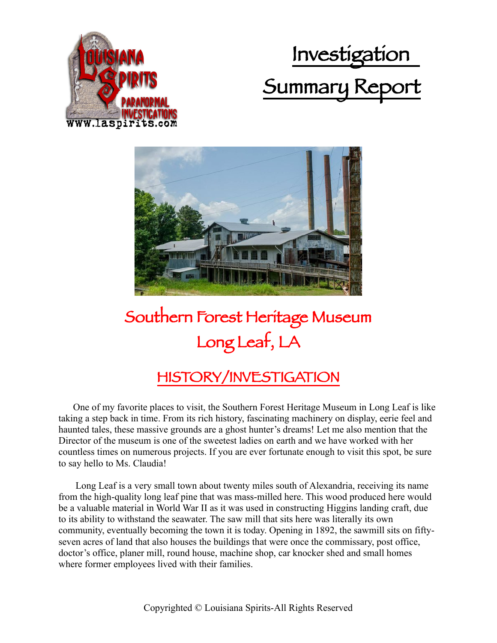





## Southern Forest Heritage Museum Long Leaf, LA

## HISTORY/INVESTIGATION

 One of my favorite places to visit, the Southern Forest Heritage Museum in Long Leaf is like taking a step back in time. From its rich history, fascinating machinery on display, eerie feel and haunted tales, these massive grounds are a ghost hunter's dreams! Let me also mention that the Director of the museum is one of the sweetest ladies on earth and we have worked with her countless times on numerous projects. If you are ever fortunate enough to visit this spot, be sure to say hello to Ms. Claudia!

 Long Leaf is a very small town about twenty miles south of Alexandria, receiving its name from the high-quality long leaf pine that was mass-milled here. This wood produced here would be a valuable material in World War II as it was used in constructing Higgins landing craft, due to its ability to withstand the seawater. The saw mill that sits here was literally its own community, eventually becoming the town it is today. Opening in 1892, the sawmill sits on fiftyseven acres of land that also houses the buildings that were once the commissary, post office, doctor's office, planer mill, round house, machine shop, car knocker shed and small homes where former employees lived with their families.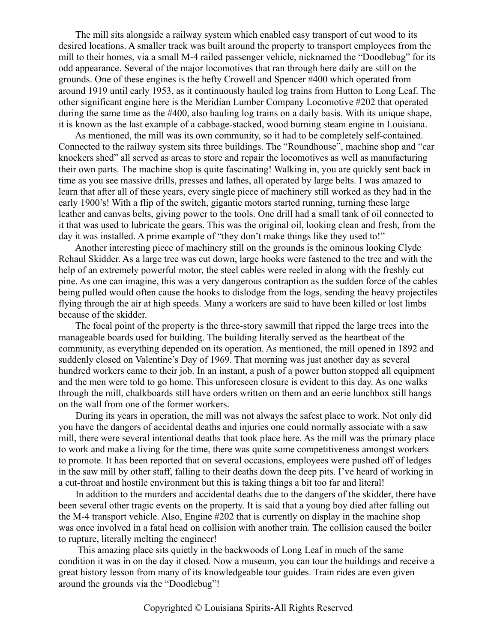The mill sits alongside a railway system which enabled easy transport of cut wood to its desired locations. A smaller track was built around the property to transport employees from the mill to their homes, via a small M-4 railed passenger vehicle, nicknamed the "Doodlebug" for its odd appearance. Several of the major locomotives that ran through here daily are still on the grounds. One of these engines is the hefty Crowell and Spencer #400 which operated from around 1919 until early 1953, as it continuously hauled log trains from Hutton to Long Leaf. The other significant engine here is the Meridian Lumber Company Locomotive #202 that operated during the same time as the #400, also hauling log trains on a daily basis. With its unique shape, it is known as the last example of a cabbage-stacked, wood burning steam engine in Louisiana.

 As mentioned, the mill was its own community, so it had to be completely self-contained. Connected to the railway system sits three buildings. The "Roundhouse", machine shop and "car knockers shed" all served as areas to store and repair the locomotives as well as manufacturing their own parts. The machine shop is quite fascinating! Walking in, you are quickly sent back in time as you see massive drills, presses and lathes, all operated by large belts. I was amazed to learn that after all of these years, every single piece of machinery still worked as they had in the early 1900's! With a flip of the switch, gigantic motors started running, turning these large leather and canvas belts, giving power to the tools. One drill had a small tank of oil connected to it that was used to lubricate the gears. This was the original oil, looking clean and fresh, from the day it was installed. A prime example of "they don't make things like they used to!"

 Another interesting piece of machinery still on the grounds is the ominous looking Clyde Rehaul Skidder. As a large tree was cut down, large hooks were fastened to the tree and with the help of an extremely powerful motor, the steel cables were reeled in along with the freshly cut pine. As one can imagine, this was a very dangerous contraption as the sudden force of the cables being pulled would often cause the hooks to dislodge from the logs, sending the heavy projectiles flying through the air at high speeds. Many a workers are said to have been killed or lost limbs because of the skidder.

 The focal point of the property is the three-story sawmill that ripped the large trees into the manageable boards used for building. The building literally served as the heartbeat of the community, as everything depended on its operation. As mentioned, the mill opened in 1892 and suddenly closed on Valentine's Day of 1969. That morning was just another day as several hundred workers came to their job. In an instant, a push of a power button stopped all equipment and the men were told to go home. This unforeseen closure is evident to this day. As one walks through the mill, chalkboards still have orders written on them and an eerie lunchbox still hangs on the wall from one of the former workers.

 During its years in operation, the mill was not always the safest place to work. Not only did you have the dangers of accidental deaths and injuries one could normally associate with a saw mill, there were several intentional deaths that took place here. As the mill was the primary place to work and make a living for the time, there was quite some competitiveness amongst workers to promote. It has been reported that on several occasions, employees were pushed off of ledges in the saw mill by other staff, falling to their deaths down the deep pits. I've heard of working in a cut-throat and hostile environment but this is taking things a bit too far and literal!

 In addition to the murders and accidental deaths due to the dangers of the skidder, there have been several other tragic events on the property. It is said that a young boy died after falling out the M-4 transport vehicle. Also, Engine #202 that is currently on display in the machine shop was once involved in a fatal head on collision with another train. The collision caused the boiler to rupture, literally melting the engineer!

 This amazing place sits quietly in the backwoods of Long Leaf in much of the same condition it was in on the day it closed. Now a museum, you can tour the buildings and receive a great history lesson from many of its knowledgeable tour guides. Train rides are even given around the grounds via the "Doodlebug"!